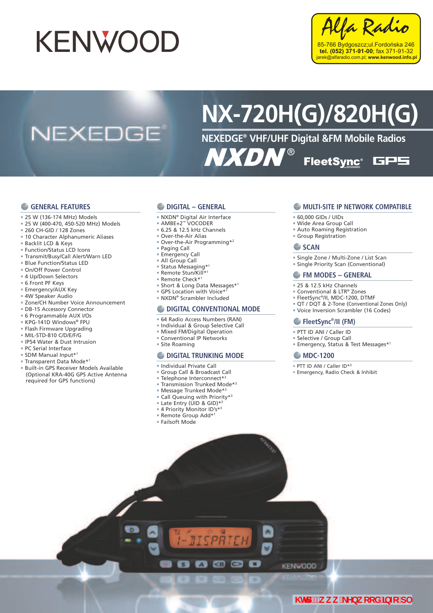# **KENWOOD**



## **NEXEDGE**

## NX-720H(G)/820H(G)

## **NEXEDGE<sup>®</sup> VHF/UHF Digital &FM Mobile Radios**

**NXDN®** 

**FleetSync®** 



### **GENERAL FEATURES**

- 25 W (136-174 MHz) Models
- · 25 W (400-470, 450-520 MHz) Models
- 260 CH-GID / 128 Zones
- 10 Character Alphanumeric Aliases
- · Backlit LCD & Keys
- Function/Status LCD Icons
- · Transmit/Busy/Call Alert/Warn LED
- . Blue Function/Status LED
- . On/Off Power Control
- . 4 Up/Down Selectors
- 6 Front PF Keys
- Emergency/AUX Key
- · 4W Speaker Audio
- . Zone/CH Number Voice Announcement
- · DB-15 Accessory Connector
- 6 Programmable AUX I/Os
- · KPG-141D Windows® FPU
- Flash Firmware Upgrading
- · MIL-STD-810 C/D/E/F/G
- . IP54 Water & Dust Intrusion
- . PC Serial Interface
- SDM Manual Input\*1
- Transparent Data Mode\*<sup>1</sup>
- · Built-in GPS Receiver Models Available
- (Optional KRA-40G GPS Active Antenna required for GPS functions)

#### DIGITAL - GENERAL

- -<br>• NXDN® Digital Air Interface<br>• AMBE+2™ VOCODER
- 
- 6.25 & 12.5 kHz Channels • Over-the-Air Alias
- Over-the-Air Programming\*2
- Paging Call
- Emergency Call
- All Group Call
- Status Messaging\*1
- Remote Stun/Kill\*<sup>1</sup>
- Remote Check\*1
- Short & Long Data Messages\*1
- GPS Location with Voice\*1 · NXDN<sup>®</sup> Scrambler Included

### DIGITAL CONVENTIONAL MODE

- 
- · 64 Radio Access Numbers (RAN)
- · Individual & Group Selective Call
- Mixed FM/Digital Operation
- Conventional IP Networks
- Site Roaming

#### DIGITAL TRUNKING MODE

- JISPATEH

**DAT** 

**KBIC O** 

#### · Individual Private Call

- · Group Call & Broadcast Call
- · Telephone Interconnect\*<sup>3</sup>
- Transmission Trunked Mode\*<sup>3</sup>
- Message Trunked Mode\*<sup>3</sup>
- Call Queuing with Priority\*<sup>3</sup>
- Late Entry (UID & GID)\*
- 4 Priority Monitor ID's\*<sup>3</sup>
- Remote Group Add\*1
- Failsoft Mode

## MULTI-SITE IP NETWORK COMPATIBLE

- 60,000 GIDs / UIDs
- · Wide Area Group Call
- Auto Roaming Registration
- · Group Registration

#### SCAN

- · Single Zone / Multi-Zone / List Scan
- · Single Priority Scan (Conventional)

#### FM MODES - GENERAL

- \* 25 & 12.5 kHz Channels
- Conventional & LTR® Zones
- · FleetSync®/II, MDC-1200, DTMF
- QT / DQT & 2-Tone (Conventional Zones Only)
- . Voice Inversion Scrambler (16 Codes)

#### FleetSync<sup>®</sup>/II (FM)

- . PTT ID ANI / Caller ID
- · Selective / Group Call
- Emergency, Status & Test Messages\*1

#### **MDC-1200**

**KENWOOD** 

- PTT ID ANI / Caller ID\*3
- · Emergency, Radio Check & Inhibit

\Hrd.#k k k "\_Ybk ccX"]bZ "d`